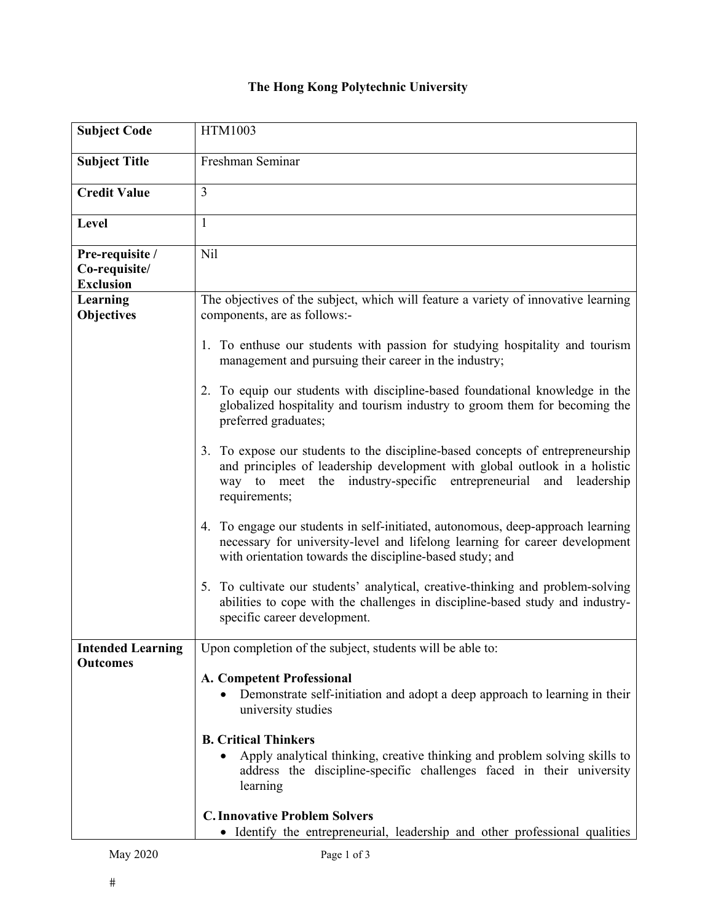## **The Hong Kong Polytechnic University**

| <b>Subject Code</b>                                  | HTM1003                                                                                                                                                                                                                                                 |
|------------------------------------------------------|---------------------------------------------------------------------------------------------------------------------------------------------------------------------------------------------------------------------------------------------------------|
| <b>Subject Title</b>                                 | Freshman Seminar                                                                                                                                                                                                                                        |
| <b>Credit Value</b>                                  | 3                                                                                                                                                                                                                                                       |
| Level                                                | 1                                                                                                                                                                                                                                                       |
| Pre-requisite /<br>Co-requisite/<br><b>Exclusion</b> | Nil                                                                                                                                                                                                                                                     |
| Learning<br>Objectives                               | The objectives of the subject, which will feature a variety of innovative learning<br>components, are as follows:-                                                                                                                                      |
|                                                      | 1. To enthuse our students with passion for studying hospitality and tourism<br>management and pursuing their career in the industry;                                                                                                                   |
|                                                      | 2. To equip our students with discipline-based foundational knowledge in the<br>globalized hospitality and tourism industry to groom them for becoming the<br>preferred graduates;                                                                      |
|                                                      | 3. To expose our students to the discipline-based concepts of entrepreneurship<br>and principles of leadership development with global outlook in a holistic<br>way to meet the industry-specific entrepreneurial<br>and<br>leadership<br>requirements; |
|                                                      | 4. To engage our students in self-initiated, autonomous, deep-approach learning<br>necessary for university-level and lifelong learning for career development<br>with orientation towards the discipline-based study; and                              |
|                                                      | 5. To cultivate our students' analytical, creative-thinking and problem-solving<br>abilities to cope with the challenges in discipline-based study and industry-<br>specific career development.                                                        |
| <b>Intended Learning</b>                             | Upon completion of the subject, students will be able to:                                                                                                                                                                                               |
| <b>Outcomes</b>                                      | A. Competent Professional<br>Demonstrate self-initiation and adopt a deep approach to learning in their<br>university studies                                                                                                                           |
|                                                      | <b>B. Critical Thinkers</b><br>Apply analytical thinking, creative thinking and problem solving skills to<br>address the discipline-specific challenges faced in their university<br>learning                                                           |
|                                                      | <b>C. Innovative Problem Solvers</b><br>• Identify the entrepreneurial, leadership and other professional qualities                                                                                                                                     |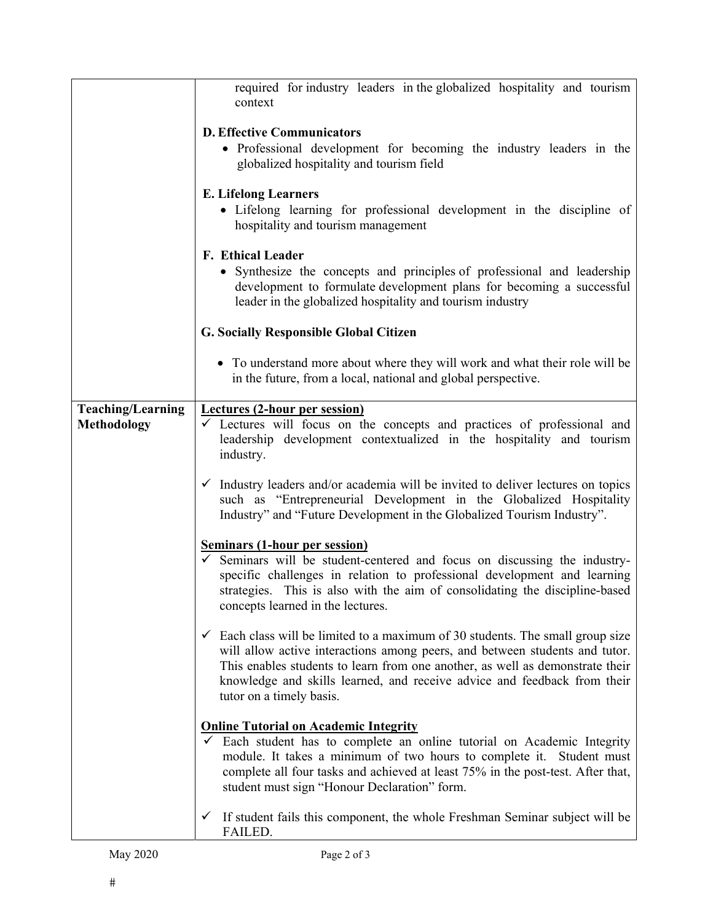|                          | required for industry leaders in the globalized hospitality and tourism<br>context                                                                                                                                                                                                                                                                                |
|--------------------------|-------------------------------------------------------------------------------------------------------------------------------------------------------------------------------------------------------------------------------------------------------------------------------------------------------------------------------------------------------------------|
|                          | <b>D. Effective Communicators</b>                                                                                                                                                                                                                                                                                                                                 |
|                          | • Professional development for becoming the industry leaders in the                                                                                                                                                                                                                                                                                               |
|                          | globalized hospitality and tourism field                                                                                                                                                                                                                                                                                                                          |
|                          | <b>E.</b> Lifelong Learners                                                                                                                                                                                                                                                                                                                                       |
|                          | • Lifelong learning for professional development in the discipline of<br>hospitality and tourism management                                                                                                                                                                                                                                                       |
|                          | F. Ethical Leader                                                                                                                                                                                                                                                                                                                                                 |
|                          | • Synthesize the concepts and principles of professional and leadership                                                                                                                                                                                                                                                                                           |
|                          | development to formulate development plans for becoming a successful<br>leader in the globalized hospitality and tourism industry                                                                                                                                                                                                                                 |
|                          | <b>G. Socially Responsible Global Citizen</b>                                                                                                                                                                                                                                                                                                                     |
|                          | • To understand more about where they will work and what their role will be<br>in the future, from a local, national and global perspective.                                                                                                                                                                                                                      |
| <b>Teaching/Learning</b> | <b>Lectures (2-hour per session)</b>                                                                                                                                                                                                                                                                                                                              |
| <b>Methodology</b>       | $\checkmark$ Lectures will focus on the concepts and practices of professional and<br>leadership development contextualized in the hospitality and tourism<br>industry.                                                                                                                                                                                           |
|                          | $\checkmark$ Industry leaders and/or academia will be invited to deliver lectures on topics<br>such as "Entrepreneurial Development in the Globalized Hospitality<br>Industry" and "Future Development in the Globalized Tourism Industry".                                                                                                                       |
|                          | <b>Seminars (1-hour per session)</b>                                                                                                                                                                                                                                                                                                                              |
|                          | $\checkmark$ Seminars will be student-centered and focus on discussing the industry-<br>specific challenges in relation to professional development and learning<br>strategies. This is also with the aim of consolidating the discipline-based<br>concepts learned in the lectures.                                                                              |
|                          | $\checkmark$ Each class will be limited to a maximum of 30 students. The small group size<br>will allow active interactions among peers, and between students and tutor.<br>This enables students to learn from one another, as well as demonstrate their<br>knowledge and skills learned, and receive advice and feedback from their<br>tutor on a timely basis. |
|                          | <b>Online Tutorial on Academic Integrity</b>                                                                                                                                                                                                                                                                                                                      |
|                          | Each student has to complete an online tutorial on Academic Integrity<br>module. It takes a minimum of two hours to complete it. Student must<br>complete all four tasks and achieved at least 75% in the post-test. After that,<br>student must sign "Honour Declaration" form.                                                                                  |
|                          | If student fails this component, the whole Freshman Seminar subject will be<br>$\checkmark$<br>FAILED.                                                                                                                                                                                                                                                            |